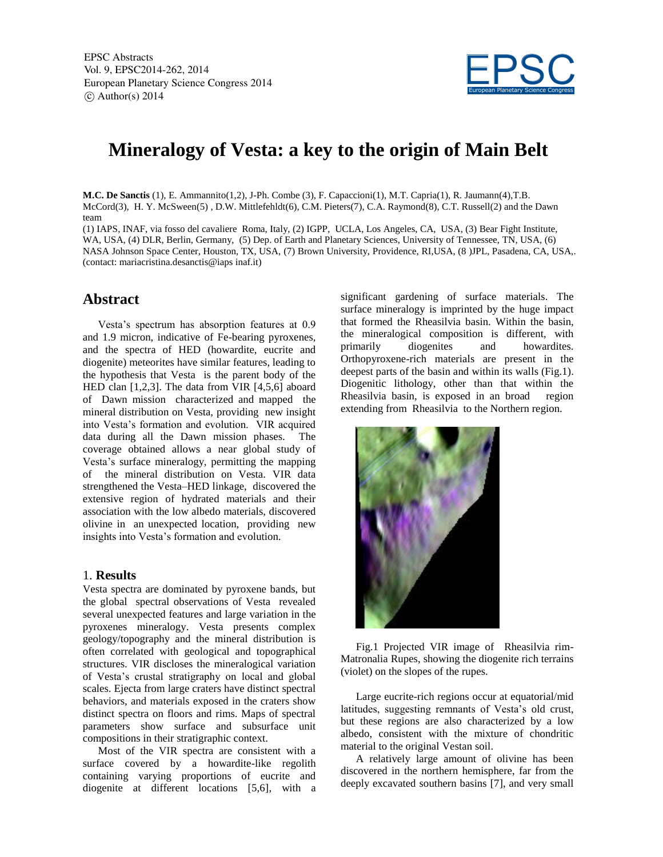

# **Mineralogy of Vesta: a key to the origin of Main Belt**

**M.C. De Sanctis** (1), E. Ammannito(1,2), J-Ph. Combe (3), F. Capaccioni(1), M.T. Capria(1), R. Jaumann(4),T.B. McCord(3), H. Y. McSween(5) , D.W. Mittlefehldt(6), C.M. Pieters(7), C.A. Raymond(8), C.T. Russell(2) and the Dawn team

(1) IAPS, INAF, via fosso del cavaliere Roma, Italy, (2) IGPP, UCLA, Los Angeles, CA, USA, (3) Bear Fight Institute, WA, USA, (4) DLR, Berlin, Germany, (5) Dep. of Earth and Planetary Sciences, University of Tennessee, TN, USA, (6) NASA Johnson Space Center, Houston, TX, USA, (7) Brown University, Providence, RI,USA, (8 )JPL, Pasadena, CA, USA,. (contact: mariacristina.desanctis@iaps inaf.it)

## **Abstract**

Vesta's spectrum has absorption features at 0.9 and 1.9 micron, indicative of Fe-bearing pyroxenes, and the spectra of HED (howardite, eucrite and diogenite) meteorites have similar features, leading to the hypothesis that Vesta is the parent body of the HED clan [1,2,3]. The data from VIR [4,5,6] aboard of Dawn mission characterized and mapped the mineral distribution on Vesta, providing new insight into Vesta's formation and evolution. VIR acquired data during all the Dawn mission phases. The coverage obtained allows a near global study of Vesta's surface mineralogy, permitting the mapping of the mineral distribution on Vesta. VIR data strengthened the Vesta–HED linkage, discovered the extensive region of hydrated materials and their association with the low albedo materials, discovered olivine in an unexpected location, providing new insights into Vesta's formation and evolution.

#### 1. **Results**

Vesta spectra are dominated by pyroxene bands, but the global spectral observations of Vesta revealed several unexpected features and large variation in the pyroxenes mineralogy. Vesta presents complex geology/topography and the mineral distribution is often correlated with geological and topographical structures. VIR discloses the mineralogical variation of Vesta's crustal stratigraphy on local and global scales. Ejecta from large craters have distinct spectral behaviors, and materials exposed in the craters show distinct spectra on floors and rims. Maps of spectral parameters show surface and subsurface unit compositions in their stratigraphic context.

Most of the VIR spectra are consistent with a surface covered by a howardite-like regolith containing varying proportions of eucrite and diogenite at different locations [5,6], with a significant gardening of surface materials. The surface mineralogy is imprinted by the huge impact that formed the Rheasilvia basin. Within the basin, the mineralogical composition is different, with primarily diogenites and howardites. Orthopyroxene-rich materials are present in the deepest parts of the basin and within its walls (Fig.1). Diogenitic lithology, other than that within the Rheasilvia basin, is exposed in an broad region extending from Rheasilvia to the Northern region.



Fig.1 Projected VIR image of Rheasilvia rim-Matronalia Rupes, showing the diogenite rich terrains (violet) on the slopes of the rupes.

Large eucrite-rich regions occur at equatorial/mid latitudes, suggesting remnants of Vesta's old crust, but these regions are also characterized by a low albedo, consistent with the mixture of chondritic material to the original Vestan soil.

A relatively large amount of olivine has been discovered in the northern hemisphere, far from the deeply excavated southern basins [7], and very small